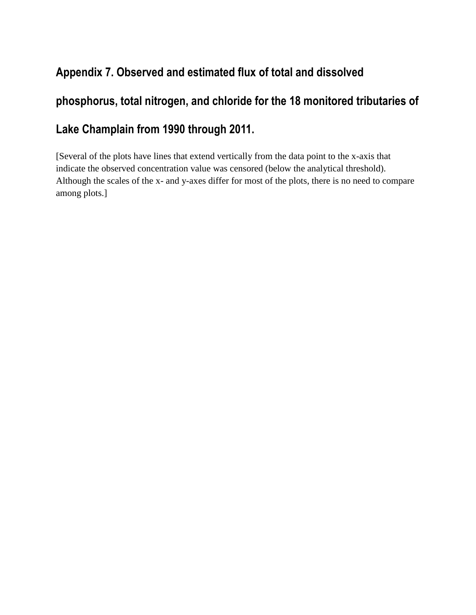#### **Appendix 7. Observed and estimated flux of total and dissolved**

# **phosphorus, total nitrogen, and chloride for the 18 monitored tributaries of Lake Champlain from 1990 through 2011.**

[Several of the plots have lines that extend vertically from the data point to the x-axis that indicate the observed concentration value was censored (below the analytical threshold). Although the scales of the x- and y-axes differ for most of the plots, there is no need to compare among plots.]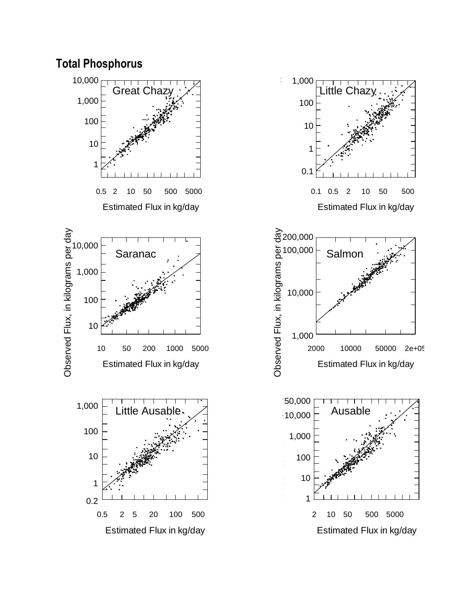



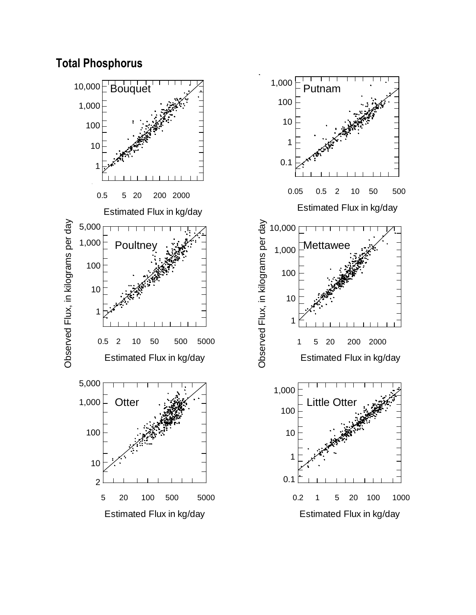





Estimated Flux in kg/day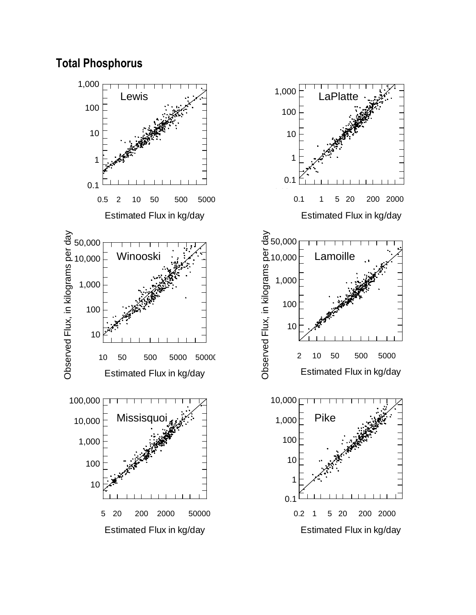#### **Total Phosphorus**

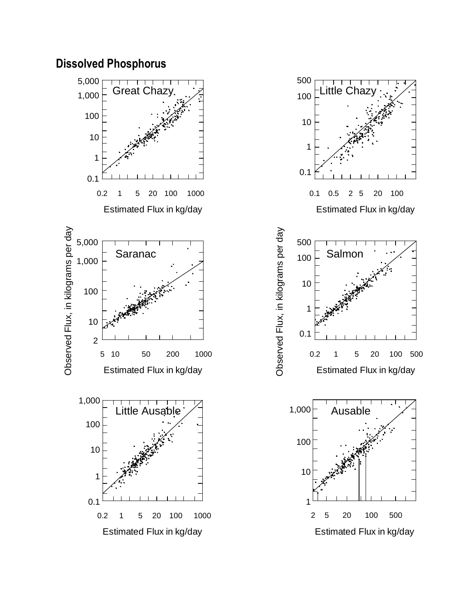



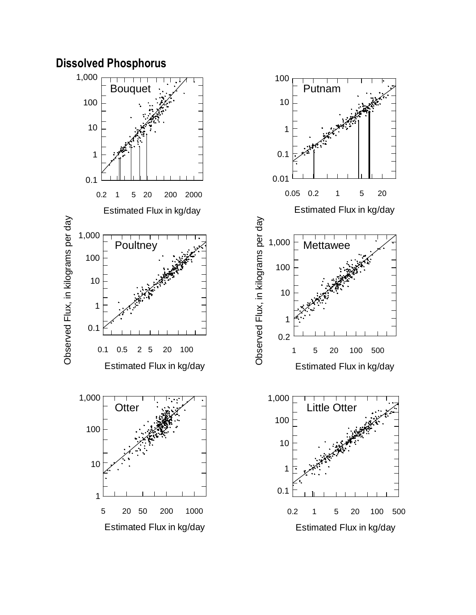# **Dissolved Phosphorus**

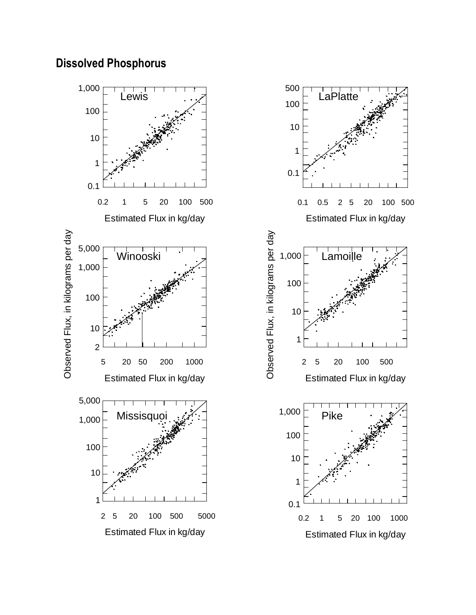#### **Dissolved Phosphorus**



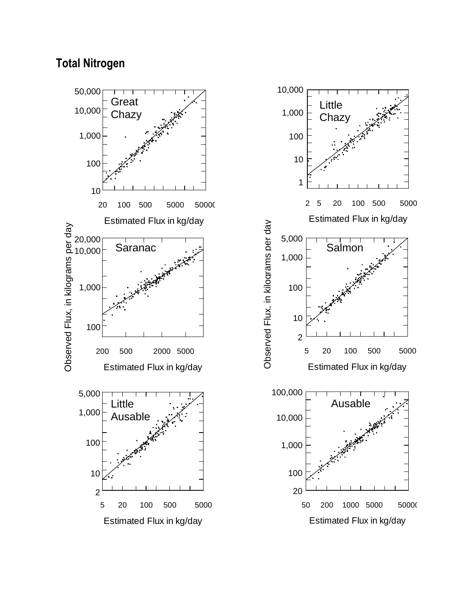#### **Total Nitrogen**



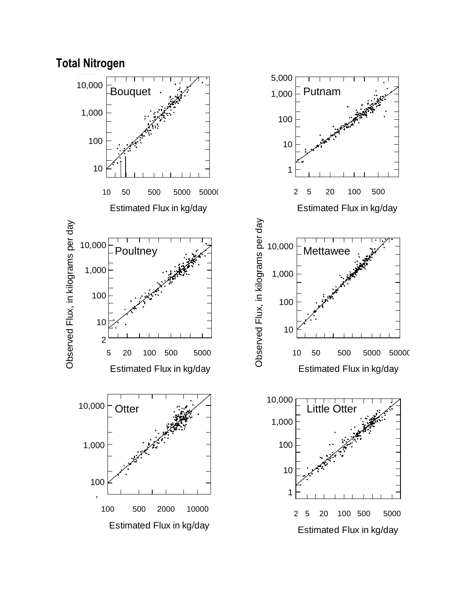

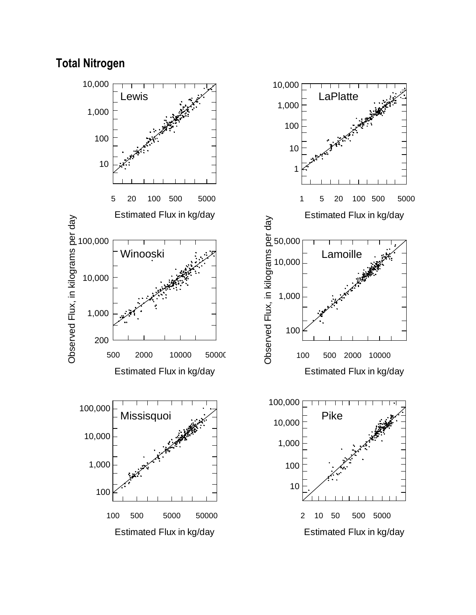#### **Total Nitrogen**

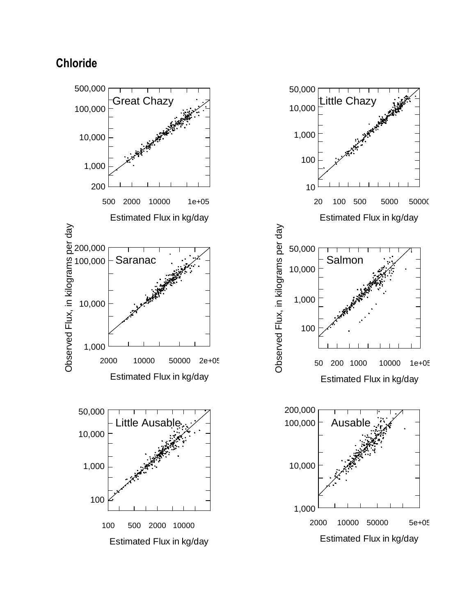## **Chloride**

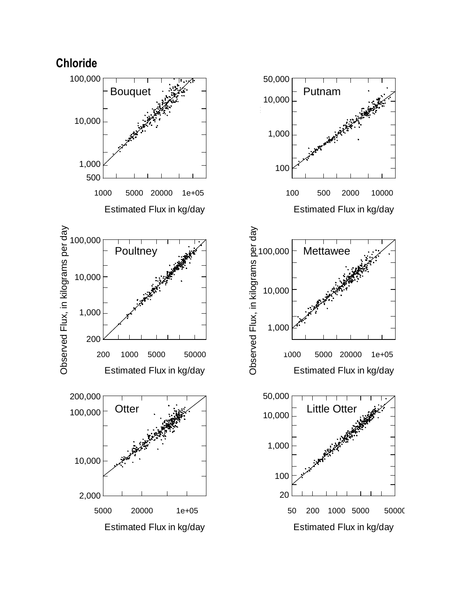